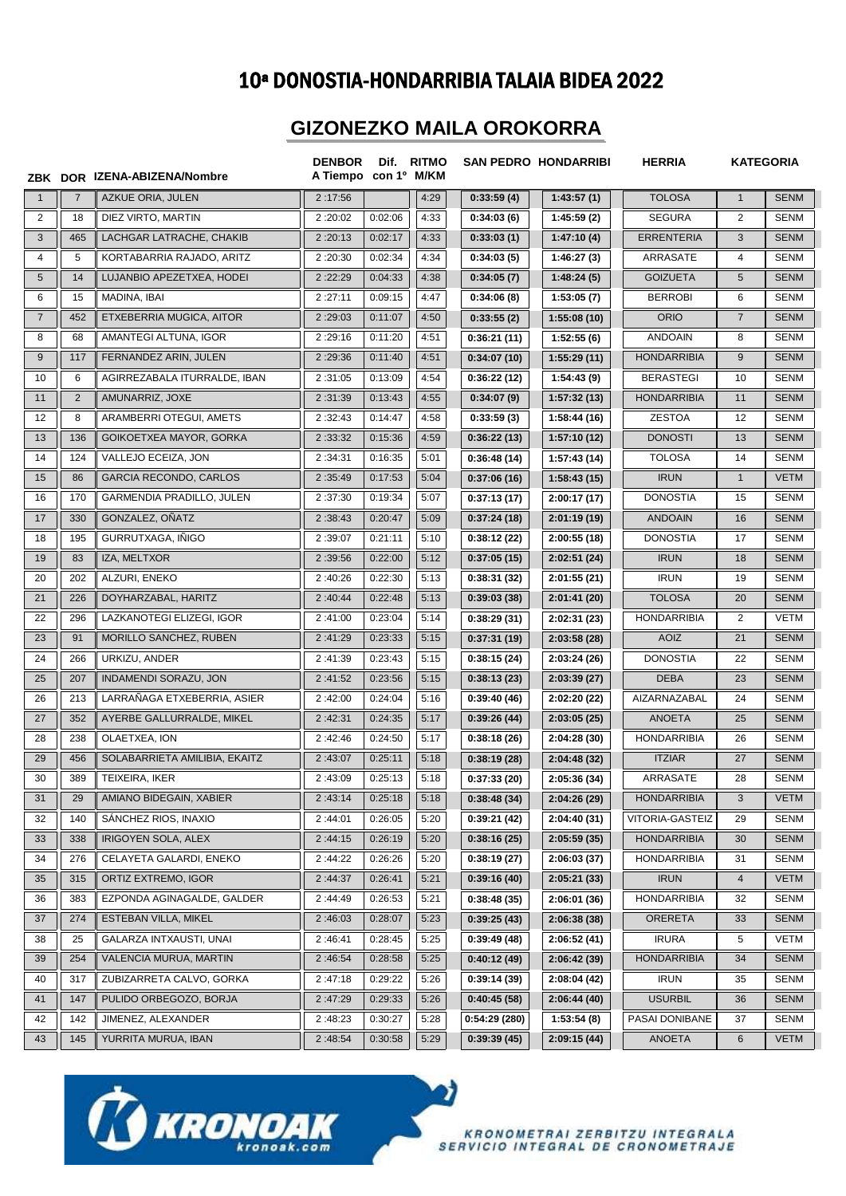## 10ª DONOSTIA-HONDARRIBIA TALAIA BIDEA 2022

## **GIZONEZKO MAILA OROKORRA**

|                |                | ZBK DOR IZENA-ABIZENA/Nombre  | <b>DENBOR</b><br>A Tiempo con 1º M/KM | Dif.    | <b>RITMO</b> |              | <b>SAN PEDRO HONDARRIBI</b> | <b>HERRIA</b>      |                | <b>KATEGORIA</b> |
|----------------|----------------|-------------------------------|---------------------------------------|---------|--------------|--------------|-----------------------------|--------------------|----------------|------------------|
| $\mathbf{1}$   | $\overline{7}$ | AZKUE ORIA, JULEN             | 2:17:56                               |         | 4:29         | 0:33:59(4)   | 1:43:57(1)                  | <b>TOLOSA</b>      | $\mathbf{1}$   | <b>SENM</b>      |
| $\overline{2}$ | 18             | DIEZ VIRTO, MARTIN            | 2:20:02                               | 0:02:06 | 4:33         | 0:34:03(6)   | 1:45:59(2)                  | <b>SEGURA</b>      | $\overline{2}$ | <b>SENM</b>      |
| 3              | 465            | LACHGAR LATRACHE, CHAKIB      | 2:20:13                               | 0:02:17 | 4:33         | 0:33:03(1)   | 1:47:10(4)                  | <b>ERRENTERIA</b>  | 3              | <b>SENM</b>      |
| $\overline{4}$ | 5              | KORTABARRIA RAJADO, ARITZ     | 2:20:30                               | 0:02:34 | 4:34         | 0:34:03(5)   | 1:46:27(3)                  | ARRASATE           | 4              | <b>SENM</b>      |
| 5              | 14             | LUJANBIO APEZETXEA, HODEI     | 2:22:29                               | 0:04:33 | 4:38         | 0:34:05(7)   | 1:48:24(5)                  | <b>GOIZUETA</b>    | 5              | <b>SENM</b>      |
| 6              | 15             | MADINA, IBAI                  | 2:27:11                               | 0:09:15 | 4:47         | 0:34:06(8)   | 1:53:05(7)                  | <b>BERROBI</b>     | 6              | <b>SENM</b>      |
| $\overline{7}$ | 452            | ETXEBERRIA MUGICA, AITOR      | 2:29:03                               | 0:11:07 | 4:50         | 0:33:55(2)   | 1:55:08(10)                 | <b>ORIO</b>        | $\overline{7}$ | <b>SENM</b>      |
| 8              | 68             | AMANTEGI ALTUNA, IGOR         | 2:29:16                               | 0:11:20 | 4:51         | 0:36:21(11)  | 1:52:55(6)                  | <b>ANDOAIN</b>     | 8              | <b>SENM</b>      |
| 9              | 117            | FERNANDEZ ARIN, JULEN         | 2:29:36                               | 0:11:40 | 4:51         | 0:34:07(10)  | 1:55:29(11)                 | <b>HONDARRIBIA</b> | 9              | <b>SENM</b>      |
| 10             | 6              | AGIRREZABALA ITURRALDE, IBAN  | 2:31:05                               | 0:13:09 | 4:54         | 0:36:22(12)  | 1:54:43 (9)                 | <b>BERASTEGI</b>   | 10             | <b>SENM</b>      |
| 11             | $\overline{2}$ | AMUNARRIZ, JOXE               | 2:31:39                               | 0:13:43 | 4:55         | 0:34:07(9)   | 1:57:32(13)                 | <b>HONDARRIBIA</b> | 11             | <b>SENM</b>      |
| 12             | 8              | ARAMBERRI OTEGUI, AMETS       | 2:32:43                               | 0:14:47 | 4:58         | 0:33:59(3)   | 1:58:44 (16)                | <b>ZESTOA</b>      | 12             | <b>SENM</b>      |
| 13             | 136            | GOIKOETXEA MAYOR, GORKA       | 2:33:32                               | 0:15:36 | 4:59         | 0:36:22(13)  | 1:57:10(12)                 | <b>DONOSTI</b>     | 13             | <b>SENM</b>      |
| 14             | 124            | VALLEJO ECEIZA, JON           | 2:34:31                               | 0:16:35 | 5:01         | 0:36:48(14)  | 1:57:43 (14)                | <b>TOLOSA</b>      | 14             | <b>SENM</b>      |
| 15             | 86             | <b>GARCIA RECONDO, CARLOS</b> | 2:35:49                               | 0:17:53 | 5:04         | 0:37:06(16)  | 1:58:43(15)                 | <b>IRUN</b>        | $\mathbf{1}$   | <b>VETM</b>      |
| 16             | 170            | GARMENDIA PRADILLO, JULEN     | 2:37:30                               | 0:19:34 | 5:07         | 0:37:13(17)  | 2:00:17(17)                 | <b>DONOSTIA</b>    | 15             | <b>SENM</b>      |
| 17             | 330            | GONZALEZ, OÑATZ               | 2:38:43                               | 0:20:47 | 5:09         | 0:37:24(18)  | 2:01:19(19)                 | <b>ANDOAIN</b>     | 16             | <b>SENM</b>      |
| 18             | 195            | GURRUTXAGA, IÑIGO             | 2:39:07                               | 0:21:11 | 5:10         | 0:38:12(22)  | 2:00:55(18)                 | <b>DONOSTIA</b>    | 17             | <b>SENM</b>      |
| 19             | 83             | IZA, MELTXOR                  | 2:39:56                               | 0:22:00 | 5:12         | 0:37:05(15)  | 2:02:51(24)                 | <b>IRUN</b>        | 18             | <b>SENM</b>      |
| 20             | 202            | ALZURI, ENEKO                 | 2:40:26                               | 0:22:30 | 5:13         | 0:38:31(32)  | 2:01:55(21)                 | <b>IRUN</b>        | 19             | <b>SENM</b>      |
| 21             | 226            | DOYHARZABAL, HARITZ           | 2:40:44                               | 0:22:48 | 5:13         | 0:39:03(38)  | 2:01:41(20)                 | <b>TOLOSA</b>      | 20             | <b>SENM</b>      |
| 22             | 296            | LAZKANOTEGI ELIZEGI, IGOR     | 2:41:00                               | 0:23:04 | 5:14         | 0:38:29(31)  | 2:02:31(23)                 | <b>HONDARRIBIA</b> | $\overline{2}$ | <b>VETM</b>      |
| 23             | 91             | MORILLO SANCHEZ, RUBEN        | 2:41:29                               | 0:23:33 | 5:15         | 0:37:31(19)  | 2:03:58(28)                 | <b>AOIZ</b>        | 21             | <b>SENM</b>      |
| 24             | 266            | URKIZU, ANDER                 | 2:41:39                               | 0:23:43 | 5:15         | 0:38:15(24)  | 2:03:24(26)                 | <b>DONOSTIA</b>    | 22             | <b>SENM</b>      |
| 25             | 207            | INDAMENDI SORAZU, JON         | 2:41:52                               | 0:23:56 | 5:15         | 0:38:13(23)  | 2:03:39(27)                 | <b>DEBA</b>        | 23             | <b>SENM</b>      |
| 26             | 213            | LARRAÑAGA ETXEBERRIA, ASIER   | 2:42:00                               | 0:24:04 | 5:16         | 0:39:40(46)  | 2:02:20 (22)                | AIZARNAZABAL       | 24             | <b>SENM</b>      |
| 27             | 352            | AYERBE GALLURRALDE, MIKEL     | 2:42:31                               | 0:24:35 | 5:17         | 0:39:26(44)  | 2:03:05(25)                 | <b>ANOETA</b>      | 25             | <b>SENM</b>      |
| 28             | 238            | OLAETXEA, ION                 | 2:42:46                               | 0:24:50 | 5:17         | 0:38:18(26)  | 2:04:28(30)                 | <b>HONDARRIBIA</b> | 26             | <b>SENM</b>      |
| 29             | 456            | SOLABARRIETA AMILIBIA, EKAITZ | 2:43:07                               | 0:25:11 | 5:18         | 0:38:19(28)  | 2:04:48 (32)                | <b>ITZIAR</b>      | 27             | <b>SENM</b>      |
| 30             | 389            | TEIXEIRA, IKER                | 2:43:09                               | 0:25:13 | 5:18         | 0:37:33(20)  | 2:05:36 (34)                | ARRASATE           | 28             | <b>SENM</b>      |
| 31             | 29             | AMIANO BIDEGAIN, XABIER       | 2:43:14                               | 0:25:18 | 5:18         | 0:38:48(34)  | 2:04:26(29)                 | <b>HONDARRIBIA</b> | 3              | <b>VETM</b>      |
| 32             | 140            | SANCHEZ RIOS, INAXIO          | 2:44:01                               | 0:26:05 | 5:20         | 0:39:21(42)  | 2:04:40(31)                 | VITORIA-GASTEIZ    | 29             | <b>SENM</b>      |
| 33             | 338            | IRIGOYEN SOLA, ALEX           | 2:44:15                               | 0:26:19 | 5:20         | 0:38:16(25)  | 2:05:59(35)                 | <b>HONDARRIBIA</b> | 30             | <b>SENM</b>      |
| 34             | 276            | CELAYETA GALARDI, ENEKO       | 2:44:22                               | 0:26:26 | 5:20         | 0:38:19(27)  | 2:06:03(37)                 | <b>HONDARRIBIA</b> | 31             | <b>SENM</b>      |
| 35             | 315            | ORTIZ EXTREMO, IGOR           | 2:44:37                               | 0:26:41 | 5:21         | 0:39:16(40)  | 2:05:21(33)                 | <b>IRUN</b>        | $\overline{4}$ | <b>VETM</b>      |
| 36             | 383            | EZPONDA AGINAGALDE, GALDER    | 2:44:49                               | 0:26:53 | 5:21         | 0:38:48(35)  | 2:06:01(36)                 | <b>HONDARRIBIA</b> | 32             | <b>SENM</b>      |
| 37             | 274            | ESTEBAN VILLA, MIKEL          | 2:46:03                               | 0:28:07 | 5:23         | 0:39:25(43)  | 2:06:38(38)                 | <b>ORERETA</b>     | 33             | <b>SENM</b>      |
| 38             | 25             | GALARZA INTXAUSTI, UNAI       | 2:46:41                               | 0:28:45 | 5:25         | 0:39:49(48)  | 2:06:52(41)                 | <b>IRURA</b>       | 5              | VETM             |
| 39             | 254            | VALENCIA MURUA, MARTIN        | 2:46:54                               | 0:28:58 | 5:25         | 0:40:12(49)  | 2:06:42(39)                 | <b>HONDARRIBIA</b> | 34             | <b>SENM</b>      |
| 40             | 317            | ZUBIZARRETA CALVO, GORKA      | 2:47:18                               | 0:29:22 | 5:26         | 0:39:14(39)  | 2:08:04 (42)                | <b>IRUN</b>        | 35             | <b>SENM</b>      |
| 41             | 147            | PULIDO ORBEGOZO, BORJA        | 2:47:29                               | 0:29:33 | 5:26         | 0:40:45(58)  | 2:06:44(40)                 | <b>USURBIL</b>     | 36             | <b>SENM</b>      |
| 42             | 142            | JIMENEZ, ALEXANDER            | 2:48:23                               | 0:30:27 | 5:28         | 0:54:29(280) | 1:53:54(8)                  | PASAI DONIBANE     | 37             | SENM             |
| 43             | 145            | YURRITA MURUA, IBAN           | 2:48:54                               | 0:30:58 | 5:29         | 0:39:39(45)  | 2:09:15(44)                 | ANOETA             | 6              | <b>VETM</b>      |

J)



KRONOMETRAI ZERBITZU INTEGRALA<br>SERVICIO INTEGRAL DE CRONOMETRAJE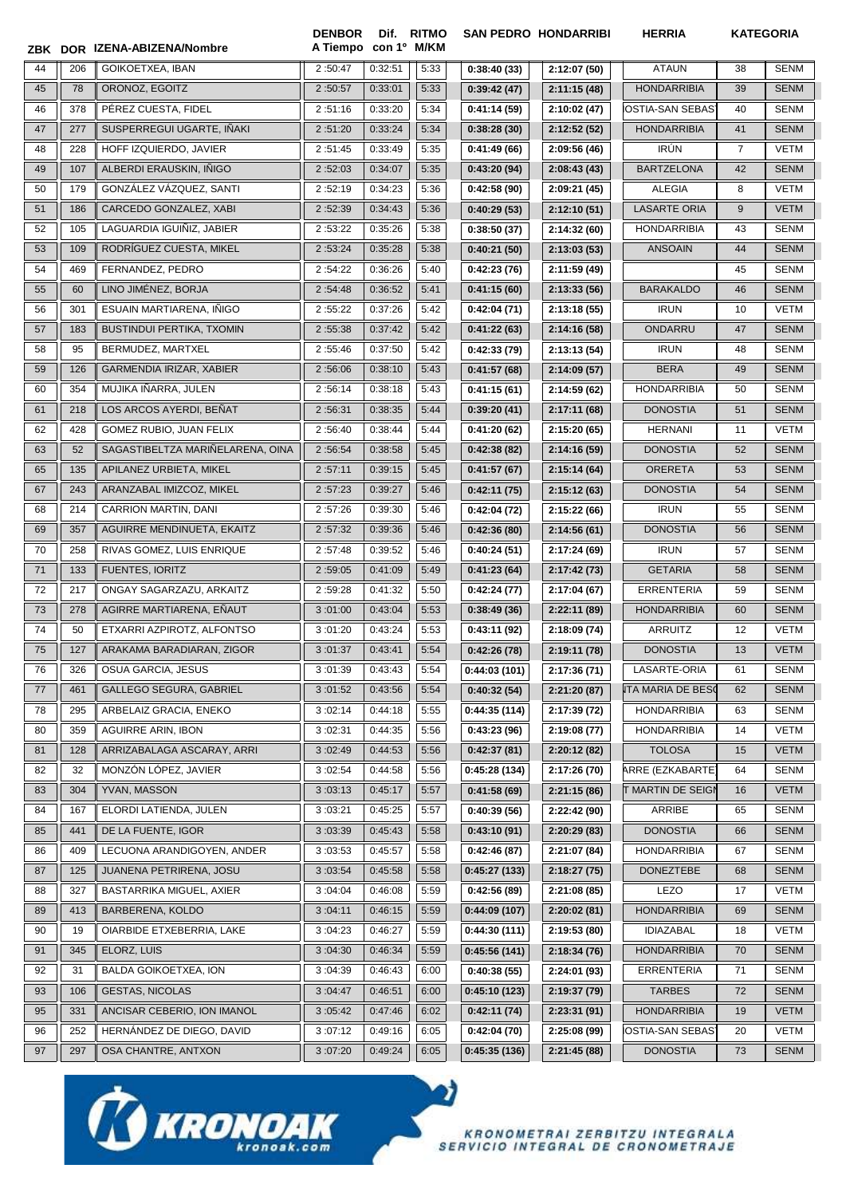|         |     | IZENA-ABIZENA/Nombre             | <b>DENBOR</b><br>A Tiempo con 1º M/KM | Dif.    | <b>RITMO</b> |               | <b>SAN PEDRO HONDARRIBI</b> | <b>HERRIA</b>            | <b>KATEGORIA</b> |             |
|---------|-----|----------------------------------|---------------------------------------|---------|--------------|---------------|-----------------------------|--------------------------|------------------|-------------|
| ZBK DOR |     |                                  |                                       |         |              |               |                             |                          |                  |             |
| 44      | 206 | GOIKOETXEA, IBAN                 | 2:50:47                               | 0:32:51 | 5:33         | 0:38:40(33)   | 2:12:07(50)                 | <b>ATAUN</b>             | 38               | <b>SENM</b> |
| 45      | 78  | ORONOZ, EGOITZ                   | 2:50:57                               | 0:33:01 | 5:33         | 0:39:42(47)   | 2:11:15(48)                 | <b>HONDARRIBIA</b>       | 39               | <b>SENM</b> |
| 46      | 378 | PÉREZ CUESTA. FIDEL              | 2:51:16                               | 0:33:20 | 5:34         | 0:41:14(59)   | 2:10:02 (47)                | IOSTIA-SAN SEBAS'        | 40               | <b>SENM</b> |
| 47      | 277 | SUSPERREGUI UGARTE, IÑAKI        | 2:51:20                               | 0:33:24 | 5:34         | 0:38:28(30)   | 2:12:52(52)                 | <b>HONDARRIBIA</b>       | 41               | <b>SENM</b> |
| 48      | 228 | HOFF IZQUIERDO, JAVIER           | 2:51:45                               | 0:33:49 | 5:35         | 0:41:49(66)   | 2:09:56 (46)                | <b>IRÚN</b>              | $\overline{7}$   | <b>VETM</b> |
| 49      | 107 | ALBERDI ERAUSKIN, IÑIGO          | 2:52:03                               | 0:34:07 | 5:35         | 0:43:20(94)   | 2:08:43(43)                 | <b>BARTZELONA</b>        | 42               | <b>SENM</b> |
| 50      | 179 | GONZÁLEZ VÁZQUEZ, SANTI          | 2:52:19                               | 0:34:23 | 5:36         | 0:42:58(90)   | 2:09:21 (45)                | ALEGIA                   | 8                | <b>VETM</b> |
| 51      | 186 | CARCEDO GONZALEZ, XABI           | 2:52:39                               | 0:34:43 | 5:36         | 0:40:29(53)   | 2:12:10(51)                 | <b>LASARTE ORIA</b>      | 9                | <b>VETM</b> |
| 52      | 105 | LAGUARDIA IGUIÑIZ, JABIER        | 2:53:22                               | 0:35:26 | 5:38         | 0:38:50(37)   | 2:14:32(60)                 | <b>HONDARRIBIA</b>       | 43               | <b>SENM</b> |
| 53      | 109 | RODRÍGUEZ CUESTA, MIKEL          | 2:53:24                               | 0:35:28 | 5:38         | 0:40:21(50)   | 2:13:03(53)                 | <b>ANSOAIN</b>           | 44               | <b>SENM</b> |
| 54      | 469 | FERNANDEZ, PEDRO                 | 2:54:22                               | 0:36:26 | 5:40         | 0:42:23(76)   | 2:11:59 (49)                |                          | 45               | <b>SENM</b> |
| 55      | 60  | LINO JIMÉNEZ, BORJA              | 2:54:48                               | 0:36:52 | 5:41         | 0:41:15(60)   | 2:13:33(56)                 | <b>BARAKALDO</b>         | 46               | <b>SENM</b> |
| 56      | 301 | ESUAIN MARTIARENA, INIGO         | 2:55:22                               | 0:37:26 | 5:42         | 0:42:04(71)   | 2:13:18(55)                 | <b>IRUN</b>              | 10               | <b>VETM</b> |
| 57      | 183 | BUSTINDUI PERTIKA, TXOMIN        | 2:55:38                               | 0:37:42 | 5:42         | 0:41:22(63)   | 2:14:16 (58)                | ONDARRU                  | 47               | <b>SENM</b> |
| 58      | 95  | BERMUDEZ, MARTXEL                | 2:55:46                               | 0:37:50 | 5:42         | 0:42:33(79)   | 2:13:13 (54)                | <b>IRUN</b>              | 48               | <b>SENM</b> |
| 59      | 126 | GARMENDIA IRIZAR, XABIER         | 2:56:06                               | 0:38:10 | 5:43         | 0:41:57(68)   | 2:14:09(57)                 | <b>BERA</b>              | 49               | <b>SENM</b> |
| 60      | 354 | MUJIKA IÑARRA, JULEN             | 2:56:14                               | 0:38:18 | 5:43         | 0:41:15(61)   | 2:14:59 (62)                | <b>HONDARRIBIA</b>       | 50               | <b>SENM</b> |
| 61      | 218 | LOS ARCOS AYERDI, BEÑAT          | 2:56:31                               | 0:38:35 | 5:44         | 0:39:20(41)   | 2:17:11(68)                 | <b>DONOSTIA</b>          | 51               | <b>SENM</b> |
| 62      | 428 | GOMEZ RUBIO, JUAN FELIX          | 2:56:40                               | 0:38:44 | 5:44         | 0:41:20(62)   | 2:15:20 (65)                | <b>HERNANI</b>           | 11               | VETM        |
| 63      | 52  | SAGASTIBELTZA MARIÑELARENA, OINA | 2:56:54                               | 0:38:58 | 5:45         | 0:42:38(82)   | 2:14:16(59)                 | <b>DONOSTIA</b>          | 52               | <b>SENM</b> |
| 65      | 135 | APILANEZ URBIETA, MIKEL          | 2:57:11                               | 0:39:15 | 5:45         | 0:41:57(67)   | 2:15:14(64)                 | <b>ORERETA</b>           | 53               | <b>SENM</b> |
| 67      | 243 | ARANZABAL IMIZCOZ, MIKEL         | 2:57:23                               | 0:39:27 | 5:46         | 0:42:11(75)   | 2:15:12(63)                 | <b>DONOSTIA</b>          | 54               | <b>SENM</b> |
| 68      | 214 | CARRION MARTIN, DANI             | 2:57:26                               | 0:39:30 | 5:46         | 0:42:04(72)   | 2:15:22 (66)                | <b>IRUN</b>              | 55               | <b>SENM</b> |
| 69      | 357 | AGUIRRE MENDINUETA, EKAITZ       | 2:57:32                               | 0:39:36 | 5:46         | 0:42:36(80)   | 2:14:56(61)                 | <b>DONOSTIA</b>          | 56               | <b>SENM</b> |
| 70      | 258 | RIVAS GOMEZ, LUIS ENRIQUE        | 2:57:48                               | 0:39:52 | 5:46         | 0:40:24(51)   | 2:17:24 (69)                | <b>IRUN</b>              | 57               | <b>SENM</b> |
| 71      | 133 | <b>FUENTES, IORITZ</b>           | 2:59:05                               | 0:41:09 | 5:49         | 0:41:23(64)   | 2:17:42 (73)                | <b>GETARIA</b>           | 58               | <b>SENM</b> |
| 72      | 217 | ONGAY SAGARZAZU, ARKAITZ         | 2:59:28                               | 0:41:32 | 5:50         | 0:42:24(77)   | 2:17:04(67)                 | <b>ERRENTERIA</b>        | 59               | <b>SENM</b> |
| 73      | 278 | AGIRRE MARTIARENA, EÑAUT         | 3:01:00                               | 0:43:04 | 5:53         | 0:38:49(36)   | 2:22:11 (89)                | <b>HONDARRIBIA</b>       | 60               | <b>SENM</b> |
| 74      | 50  | ETXARRI AZPIROTZ, ALFONTSO       | 3:01:20                               | 0:43:24 | 5:53         | 0:43:11(92)   | 2:18:09 (74)                | <b>ARRUITZ</b>           | 12               | VETM        |
| 75      | 127 | ARAKAMA BARADIARAN, ZIGOR        | 3:01:37                               | 0:43:41 | 5:54         | 0:42:26(78)   | 2:19:11 (78)                | <b>DONOSTIA</b>          | 13               | <b>VETM</b> |
| 76      | 326 | OSUA GARCIA, JESUS               | 3:01:39                               | 0:43:43 | 5:54         | 0:44:03(101)  | 2:17:36 (71)                | LASARTE-ORIA             | 61               | <b>SENM</b> |
| 77      | 461 | <b>GALLEGO SEGURA, GABRIEL</b>   | 3:01:52                               | 0:43:56 | 5:54         | 0:40:32(54)   | 2:21:20(87)                 | <b>ITA MARIA DE BESC</b> | 62               | <b>SENM</b> |
| 78      | 295 | ARBELAIZ GRACIA, ENEKO           | 3:02:14                               | 0:44:18 | 5:55         | 0:44:35 (114) | 2:17:39 (72)                | <b>HONDARRIBIA</b>       | 63               | SENM        |
| 80      | 359 | <b>AGUIRRE ARIN, IBON</b>        | 3:02:31                               | 0:44:35 | 5:56         | 0:43:23(96)   | 2:19:08 (77)                | <b>HONDARRIBIA</b>       | 14               | VETM        |
| 81      | 128 | ARRIZABALAGA ASCARAY, ARRI       | 3:02:49                               | 0:44:53 | 5:56         | 0:42:37(81)   | 2:20:12(82)                 | <b>TOLOSA</b>            | 15               | <b>VETM</b> |
| 82      | 32  | MONZÓN LÓPEZ, JAVIER             | 3:02:54                               | 0:44:58 | 5:56         | 0:45:28(134)  | 2:17:26 (70)                | ARRE (EZKABARTE)         | 64               | SENM        |
| 83      | 304 | YVAN, MASSON                     | 3:03:13                               | 0:45:17 | 5:57         | 0:41:58(69)   | 2:21:15(86)                 | <b>T MARTIN DE SEIGI</b> | 16               | <b>VETM</b> |
| 84      | 167 | ELORDI LATIENDA, JULEN           | 3:03:21                               | 0:45:25 | 5:57         | 0:40:39(56)   | 2:22:42 (90)                | ARRIBE                   | 65               | SENM        |
| 85      | 441 | DE LA FUENTE, IGOR               | 3:03:39                               | 0:45:43 | 5:58         | 0:43:10(91)   | 2:20:29(83)                 | <b>DONOSTIA</b>          | 66               | <b>SENM</b> |
| 86      | 409 | LECUONA ARANDIGOYEN, ANDER       | 3:03:53                               | 0:45:57 | 5:58         | 0:42:46(87)   | 2:21:07 (84)                | <b>HONDARRIBIA</b>       | 67               | <b>SENM</b> |
| 87      | 125 | <b>JUANENA PETRIRENA, JOSU</b>   | 3:03:54                               | 0:45:58 | 5:58         | 0:45:27(133)  | 2:18:27(75)                 | <b>DONEZTEBE</b>         | 68               | <b>SENM</b> |
| 88      | 327 | BASTARRIKA MIGUEL, AXIER         | 3:04:04                               | 0:46:08 | 5:59         | 0:42:56(89)   | 2:21:08(85)                 | LEZO                     | 17               | <b>VETM</b> |
| 89      | 413 | BARBERENA, KOLDO                 | 3:04:11                               | 0:46:15 | 5:59         | 0:44:09(107)  | 2:20:02(81)                 | <b>HONDARRIBIA</b>       | 69               | <b>SENM</b> |
| 90      | 19  | OIARBIDE ETXEBERRIA, LAKE        | 3:04:23                               | 0:46:27 | 5:59         | 0:44:30(111)  | 2:19:53 (80)                | <b>IDIAZABAL</b>         | 18               | VETM        |
| 91      | 345 | ELORZ, LUIS                      | 3:04:30                               | 0:46:34 | 5:59         | 0:45:56(141)  | 2:18:34(76)                 | <b>HONDARRIBIA</b>       | 70               | <b>SENM</b> |
| 92      | 31  | BALDA GOIKOETXEA, ION            | 3:04:39                               | 0:46:43 | 6:00         | 0:40:38(55)   | 2:24:01 (93)                | ERRENTERIA               | 71               | <b>SENM</b> |
| 93      | 106 | <b>GESTAS, NICOLAS</b>           | 3:04:47                               | 0:46:51 | 6:00         | 0:45:10(123)  | 2:19:37 (79)                | <b>TARBES</b>            | 72               | <b>SENM</b> |
| 95      | 331 | ANCISAR CEBERIO, ION IMANOL      | 3:05:42                               | 0:47:46 | 6:02         | 0:42:11(74)   | 2:23:31(91)                 | <b>HONDARRIBIA</b>       | 19               | <b>VETM</b> |
| 96      | 252 | HERNÁNDEZ DE DIEGO, DAVID        | 3:07:12                               | 0:49:16 | 6:05         | 0:42:04(70)   | 2:25:08 (99)                | <b>OSTIA-SAN SEBAS</b>   | 20               | VETM        |
| 97      | 297 | OSA CHANTRE, ANTXON              | 3:07:20                               | 0:49:24 | 6:05         | 0:45:35(136)  | 2:21:45 (88)                | <b>DONOSTIA</b>          | 73               | <b>SENM</b> |

 $\blacktriangleright$ 



KRONOMETRAI ZERBITZU INTEGRALA<br>SERVICIO INTEGRAL DE CRONOMETRAJE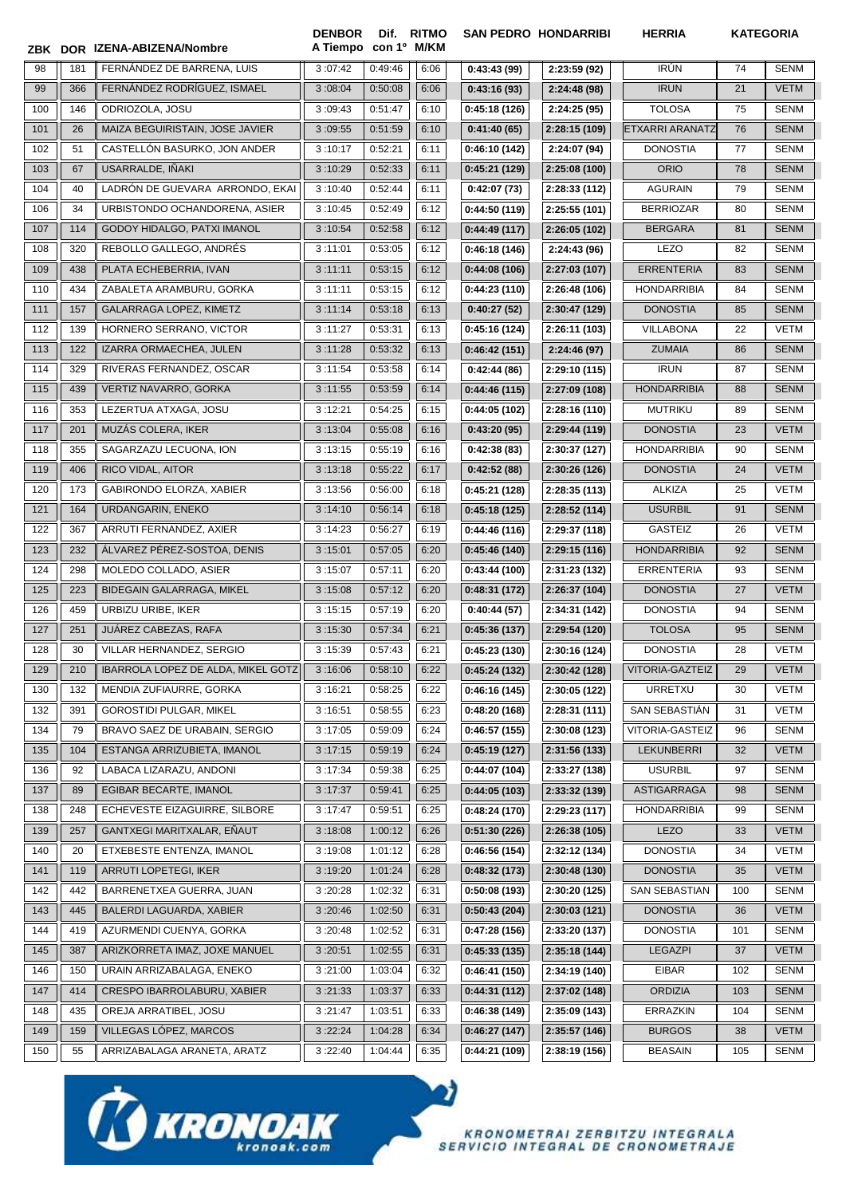|     |     | ZBK DOR IZENA-ABIZENA/Nombre              | <b>DENBOR</b><br>A Tiempo con 1º M/KM | Dif.    | <b>RITMO</b> | <b>SAN PEDRO HONDARRIBI</b> |               | <b>HERRIA</b>          |     | <b>KATEGORIA</b> |
|-----|-----|-------------------------------------------|---------------------------------------|---------|--------------|-----------------------------|---------------|------------------------|-----|------------------|
| 98  | 181 | FERNÁNDEZ DE BARRENA, LUIS                | 3:07:42                               | 0:49:46 | 6:06         | 0:43:43(99)                 | 2:23:59 (92)  | <b>IRÚN</b>            | 74  | SENM             |
| 99  | 366 | FERNANDEZ RODRIGUEZ, ISMAEL               | 3:08:04                               | 0:50:08 | 6:06         | 0:43:16(93)                 | 2:24:48 (98)  | <b>IRUN</b>            | 21  | <b>VETM</b>      |
| 100 | 146 | ODRIOZOLA, JOSU                           | 3:09:43                               | 0:51:47 | 6:10         | 0:45:18(126)                | 2:24:25 (95)  | <b>TOLOSA</b>          | 75  | <b>SENM</b>      |
| 101 | 26  | MAIZA BEGUIRISTAIN, JOSE JAVIER           | 3:09:55                               | 0:51:59 | 6:10         | 0:41:40(65)                 | 2:28:15 (109) | <b>ETXARRI ARANATZ</b> | 76  | <b>SENM</b>      |
| 102 | 51  | CASTELLÓN BASURKO, JON ANDER              | 3:10:17                               | 0:52:21 | 6:11         | 0:46:10 (142)               | 2:24:07 (94)  | <b>DONOSTIA</b>        | 77  | <b>SENM</b>      |
| 103 | 67  | USARRALDE, INAKI                          | 3:10:29                               | 0:52:33 | 6:11         | 0:45:21(129)                | 2:25:08 (100) | <b>ORIO</b>            | 78  | <b>SENM</b>      |
| 104 | 40  | LADRON DE GUEVARA ARRONDO, EKAI           | 3:10:40                               | 0:52:44 | 6:11         | 0:42:07(73)                 | 2:28:33 (112) | <b>AGURAIN</b>         | 79  | <b>SENM</b>      |
| 106 | 34  | URBISTONDO OCHANDORENA, ASIER             | 3:10:45                               | 0:52:49 | 6:12         | 0:44:50(119)                | 2:25:55 (101) | <b>BERRIOZAR</b>       | 80  | <b>SENM</b>      |
| 107 | 114 | GODOY HIDALGO, PATXI IMANOL               | 3:10:54                               | 0:52:58 | 6:12         | 0:44:49(117)                | 2:26:05 (102) | <b>BERGARA</b>         | 81  | <b>SENM</b>      |
| 108 | 320 | REBOLLO GALLEGO, ANDRÉS                   | 3:11:01                               | 0:53:05 | 6:12         | 0:46:18(146)                | 2:24:43 (96)  | <b>LEZO</b>            | 82  | <b>SENM</b>      |
| 109 | 438 | PLATA ECHEBERRIA, IVAN                    | 3:11:11                               | 0:53:15 | 6:12         | 0:44:08(106)                | 2:27:03 (107) | <b>ERRENTERIA</b>      | 83  | <b>SENM</b>      |
| 110 | 434 | ZABALETA ARAMBURU, GORKA                  | 3:11:11                               | 0:53:15 | 6:12         | 0:44:23(110)                | 2:26:48 (106) | <b>HONDARRIBIA</b>     | 84  | <b>SENM</b>      |
| 111 | 157 | GALARRAGA LOPEZ, KIMETZ                   | 3:11:14                               | 0:53:18 | 6:13         | 0:40:27(52)                 | 2:30:47 (129) | <b>DONOSTIA</b>        | 85  | <b>SENM</b>      |
| 112 | 139 | HORNERO SERRANO, VICTOR                   | 3:11:27                               | 0:53:31 | 6:13         | 0:45:16(124)                | 2:26:11 (103) | VILLABONA              | 22  | VETM             |
| 113 | 122 | IZARRA ORMAECHEA, JULEN                   | 3:11:28                               | 0:53:32 | 6:13         | 0:46:42(151)                | 2:24:46 (97)  | <b>ZUMAIA</b>          | 86  | <b>SENM</b>      |
| 114 | 329 | RIVERAS FERNANDEZ, OSCAR                  | 3:11:54                               | 0:53:58 | 6:14         | 0:42:44(86)                 | 2:29:10 (115) | <b>IRUN</b>            | 87  | <b>SENM</b>      |
| 115 | 439 | VERTIZ NAVARRO, GORKA                     | 3:11:55                               | 0:53:59 | 6:14         | 0:44:46(115)                | 2:27:09 (108) | <b>HONDARRIBIA</b>     | 88  | <b>SENM</b>      |
| 116 | 353 | LEZERTUA ATXAGA, JOSU                     | 3:12:21                               | 0:54:25 | 6:15         | 0:44:05(102)                | 2:28:16 (110) | <b>MUTRIKU</b>         | 89  | <b>SENM</b>      |
| 117 | 201 | MUZÁS COLERA, IKER                        | 3:13:04                               | 0:55:08 | 6:16         | 0:43:20(95)                 | 2:29:44 (119) | <b>DONOSTIA</b>        | 23  | <b>VETM</b>      |
| 118 | 355 | SAGARZAZU LECUONA, ION                    | 3:13:15                               | 0:55:19 | 6:16         | 0:42:38(83)                 | 2:30:37 (127) | <b>HONDARRIBIA</b>     | 90  | <b>SENM</b>      |
| 119 | 406 | RICO VIDAL, AITOR                         | 3:13:18                               | 0:55:22 | 6:17         | 0:42:52(88)                 | 2:30:26 (126) | <b>DONOSTIA</b>        | 24  | <b>VETM</b>      |
| 120 | 173 | GABIRONDO ELORZA, XABIER                  | 3:13:56                               | 0:56:00 | 6:18         | 0:45:21(128)                | 2:28:35 (113) | ALKIZA                 | 25  | <b>VETM</b>      |
| 121 | 164 | URDANGARIN, ENEKO                         | 3:14:10                               | 0:56:14 | 6:18         | 0:45:18(125)                | 2:28:52 (114) | <b>USURBIL</b>         | 91  | <b>SENM</b>      |
| 122 | 367 | ARRUTI FERNANDEZ, AXIER                   | 3:14:23                               | 0:56:27 | 6:19         | 0:44:46(116)                | 2:29:37 (118) | <b>GASTEIZ</b>         | 26  | <b>VETM</b>      |
| 123 | 232 | ÁLVAREZ PÉREZ-SOSTOA, DENIS               | 3:15:01                               | 0:57:05 | 6:20         | 0:45:46(140)                | 2:29:15 (116) | <b>HONDARRIBIA</b>     | 92  | <b>SENM</b>      |
| 124 | 298 | MOLEDO COLLADO, ASIER                     | 3:15:07                               | 0:57:11 | 6:20         | 0:43:44(100)                | 2:31:23 (132) | ERRENTERIA             | 93  | <b>SENM</b>      |
| 125 | 223 | BIDEGAIN GALARRAGA, MIKEL                 | 3:15:08                               | 0:57:12 | 6:20         | 0:48:31(172)                | 2:26:37 (104) | <b>DONOSTIA</b>        | 27  | <b>VETM</b>      |
| 126 | 459 | URBIZU URIBE, IKER                        | 3:15:15                               | 0:57:19 | 6:20         | 0:40:44(57)                 | 2:34:31 (142) | <b>DONOSTIA</b>        | 94  | <b>SENM</b>      |
| 127 | 251 | JUÁREZ CABEZAS, RAFA                      | 3:15:30                               | 0:57:34 | 6:21         | 0:45:36(137)                | 2:29:54 (120) | <b>TOLOSA</b>          | 95  | <b>SENM</b>      |
| 128 | 30  | VILLAR HERNANDEZ, SERGIO                  | 3:15:39                               | 0:57:43 | 6:21         | 0:45:23(130)                | 2:30:16 (124) | <b>DONOSTIA</b>        | 28  | VETM             |
| 129 | 210 | <b>IBARROLA LOPEZ DE ALDA, MIKEL GOTZ</b> | 3:16:06                               | 0:58:10 | 6:22         | 0:45:24(132)                | 2:30:42 (128) | VITORIA-GAZTEIZ        | 29  | <b>VETM</b>      |
| 130 | 132 | MENDIA ZUFIAURRE, GORKA                   | 3:16:21                               | 0:58:25 | 6:22         | 0:46:16(145)                | 2:30:05 (122) | <b>URRETXU</b>         | 30  | <b>VETM</b>      |
| 132 | 391 | <b>GOROSTIDI PULGAR, MIKEL</b>            | 3:16:51                               | 0:58:55 | 6:23         | 0:48:20(168)                | 2:28:31 (111) | SAN SEBASTIÁN          | 31  | VETM             |
| 134 | 79  | BRAVO SAEZ DE URABAIN, SERGIO             | 3:17:05                               | 0:59:09 | 6:24         | 0:46:57(155)                | 2:30:08 (123) | VITORIA-GASTEIZ        | 96  | <b>SENM</b>      |
| 135 | 104 | ESTANGA ARRIZUBIETA, IMANOL               | 3:17:15                               | 0:59:19 | 6:24         | 0:45:19(127)                | 2:31:56 (133) | LEKUNBERRI             | 32  | <b>VETM</b>      |
| 136 | 92  | LABACA LIZARAZU, ANDONI                   | 3:17:34                               | 0:59:38 | 6:25         | 0:44:07(104)                | 2:33:27 (138) | <b>USURBIL</b>         | 97  | SENM             |
| 137 | 89  | EGIBAR BECARTE, IMANOL                    | 3:17:37                               | 0:59:41 | 6:25         | 0:44:05(103)                | 2:33:32 (139) | <b>ASTIGARRAGA</b>     | 98  | <b>SENM</b>      |
| 138 | 248 | ECHEVESTE EIZAGUIRRE, SILBORE             | 3:17:47                               | 0:59:51 | 6:25         | 0:48:24(170)                | 2:29:23 (117) | <b>HONDARRIBIA</b>     | 99  | SENM             |
| 139 | 257 | GANTXEGI MARITXALAR, EÑAUT                | 3:18:08                               | 1:00:12 | 6:26         | 0:51:30(226)                | 2:26:38(105)  | LEZO                   | 33  | <b>VETM</b>      |
| 140 | 20  | ETXEBESTE ENTENZA, IMANOL                 | 3:19:08                               | 1:01:12 | 6:28         | 0:46:56(154)                | 2:32:12 (134) | <b>DONOSTIA</b>        | 34  | VETM             |
| 141 | 119 | ARRUTI LOPETEGI, IKER                     | 3:19:20                               | 1:01:24 | 6:28         | 0:48:32(173)                | 2:30:48 (130) | <b>DONOSTIA</b>        | 35  | <b>VETM</b>      |
| 142 | 442 | BARRENETXEA GUERRA, JUAN                  | 3:20:28                               | 1:02:32 | 6:31         | 0:50:08(193)                | 2:30:20 (125) | SAN SEBASTIAN          | 100 | <b>SENM</b>      |
| 143 | 445 | BALERDI LAGUARDA, XABIER                  |                                       |         |              |                             |               |                        | 36  |                  |
|     |     |                                           | 3:20:46                               | 1:02:50 | 6:31         | 0:50:43(204)                | 2:30:03(121)  | <b>DONOSTIA</b>        |     | <b>VETM</b>      |
| 144 | 419 | AZURMENDI CUENYA, GORKA                   | 3:20:48                               | 1:02:52 | 6:31         | 0:47:28(156)                | 2:33:20 (137) | <b>DONOSTIA</b>        | 101 | SENM             |
| 145 | 387 | ARIZKORRETA IMAZ, JOXE MANUEL             | 3:20:51                               | 1:02:55 | 6:31         | 0:45:33(135)                | 2:35:18 (144) | <b>LEGAZPI</b>         | 37  | <b>VETM</b>      |
| 146 | 150 | URAIN ARRIZABALAGA, ENEKO                 | 3:21:00                               | 1:03:04 | 6:32         | 0:46:41(150)                | 2:34:19 (140) | <b>EIBAR</b>           | 102 | <b>SENM</b>      |
| 147 | 414 | CRESPO IBARROLABURU, XABIER               | 3:21:33                               | 1:03:37 | 6:33         | 0:44:31(112)                | 2:37:02 (148) | <b>ORDIZIA</b>         | 103 | <b>SENM</b>      |
| 148 | 435 | OREJA ARRATIBEL, JOSU                     | 3:21:47                               | 1:03:51 | 6:33         | 0:46:38(149)                | 2:35:09 (143) | ERRAZKIN               | 104 | SENM             |
| 149 | 159 | VILLEGAS LÓPEZ, MARCOS                    | 3:22:24                               | 1:04:28 | 6:34         | 0:46:27(147)                | 2:35:57 (146) | <b>BURGOS</b>          | 38  | <b>VETM</b>      |
| 150 | 55  | ARRIZABALAGA ARANETA, ARATZ               | 3:22:40                               | 1:04:44 | 6:35         | 0:44:21 (109)               | 2:38:19 (156) | BEASAIN                | 105 | <b>SENM</b>      |

 $\bullet$ 

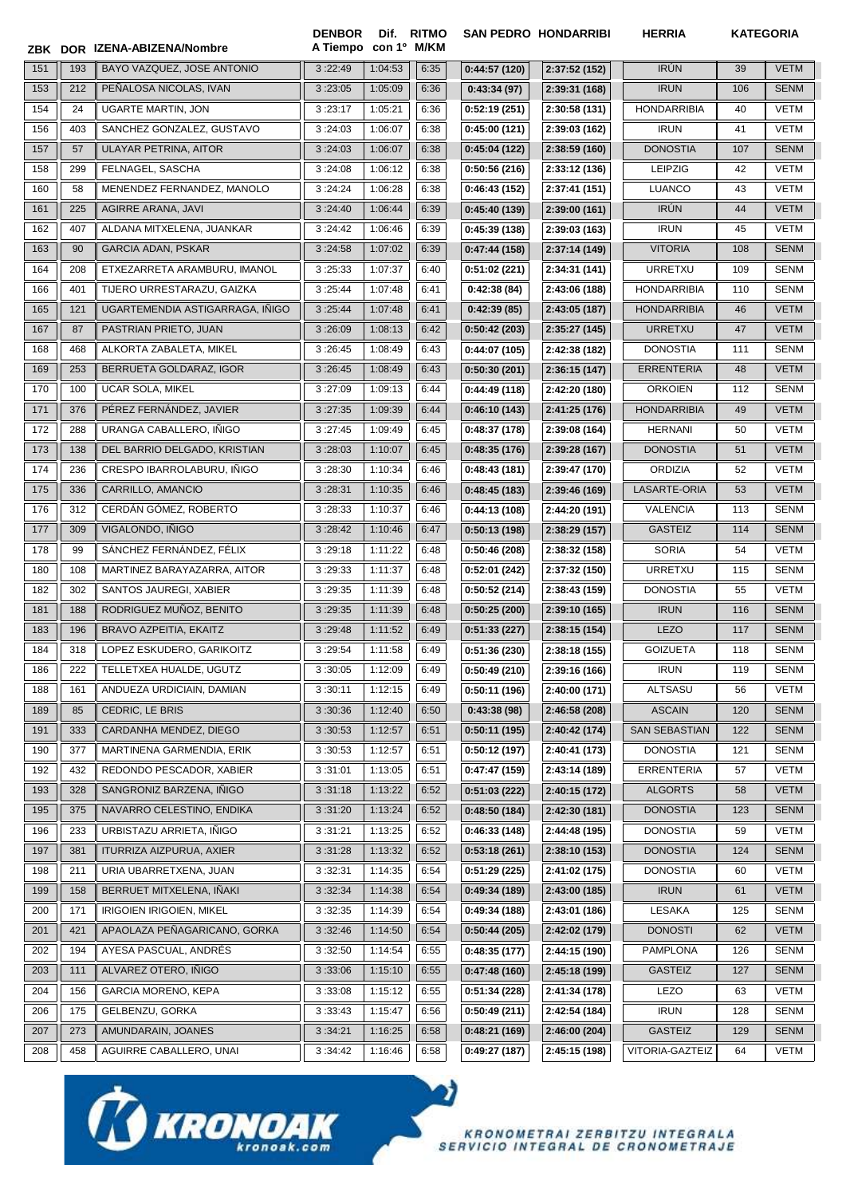|     |     | ZBK DOR IZENA-ABIZENA/Nombre    | <b>DENBOR</b><br>A Tiempo | con 1º M/KM | Dif. RITMO |              | <b>SAN PEDRO HONDARRIBI</b> | <b>HERRIA</b>        | <b>KATEGORIA</b> |             |
|-----|-----|---------------------------------|---------------------------|-------------|------------|--------------|-----------------------------|----------------------|------------------|-------------|
| 151 | 193 | BAYO VAZQUEZ, JOSE ANTONIO      | 3:22:49                   | 1:04:53     | 6:35       | 0:44:57(120) | 2:37:52 (152)               | <b>IRÚN</b>          | 39               | <b>VETM</b> |
| 153 | 212 | PENALOSA NICOLAS, IVAN          | 3:23:05                   | 1:05:09     | 6:36       | 0:43:34(97)  | 2:39:31 (168)               | <b>IRUN</b>          | 106              | <b>SENM</b> |
| 154 | 24  | <b>UGARTE MARTIN, JON</b>       | 3:23:17                   | 1:05:21     | 6:36       | 0:52:19(251) | 2:30:58 (131)               | <b>HONDARRIBIA</b>   | 40               | <b>VETM</b> |
| 156 | 403 | SANCHEZ GONZALEZ, GUSTAVO       | 3:24:03                   | 1:06:07     | 6:38       | 0:45:00(121) | 2:39:03 (162)               | <b>IRUN</b>          | 41               | <b>VETM</b> |
| 157 | 57  | ULAYAR PETRINA, AITOR           | 3:24:03                   | 1:06:07     | 6:38       | 0:45:04(122) | 2:38:59 (160)               | <b>DONOSTIA</b>      | 107              | <b>SENM</b> |
| 158 | 299 | FELNAGEL, SASCHA                | 3:24:08                   | 1:06:12     | 6:38       | 0:50:56(216) | 2:33:12 (136)               | <b>LEIPZIG</b>       | 42               | <b>VETM</b> |
| 160 | 58  | MENENDEZ FERNANDEZ, MANOLO      | 3:24:24                   | 1:06:28     | 6:38       | 0:46:43(152) | 2:37:41 (151)               | <b>LUANCO</b>        | 43               | <b>VETM</b> |
| 161 | 225 | AGIRRE ARANA, JAVI              | 3:24:40                   | 1:06:44     | 6:39       | 0:45:40(139) | 2:39:00(161)                | <b>IRÚN</b>          | 44               | <b>VETM</b> |
| 162 | 407 | ALDANA MITXELENA, JUANKAR       | 3:24:42                   | 1:06:46     | 6:39       | 0:45:39(138) | 2:39:03 (163)               | <b>IRUN</b>          | 45               | VETM        |
| 163 | 90  | <b>GARCIA ADAN, PSKAR</b>       | 3:24:58                   | 1:07:02     | 6:39       | 0:47:44(158) | 2:37:14 (149)               | <b>VITORIA</b>       | 108              | <b>SENM</b> |
| 164 | 208 | ETXEZARRETA ARAMBURU, IMANOL    | 3:25:33                   | 1:07:37     | 6:40       | 0:51:02(221) | 2:34:31 (141)               | URRETXU              | 109              | <b>SENM</b> |
| 166 | 401 | TIJERO URRESTARAZU, GAIZKA      | 3:25:44                   | 1:07:48     | 6:41       | 0:42:38(84)  | 2:43:06 (188)               | <b>HONDARRIBIA</b>   | 110              | SENM        |
| 165 | 121 | UGARTEMENDIA ASTIGARRAGA, IÑIGO | 3:25:44                   | 1:07:48     | 6:41       | 0:42:39(85)  | 2:43:05 (187)               | <b>HONDARRIBIA</b>   | 46               | <b>VETM</b> |
| 167 | 87  | PASTRIAN PRIETO, JUAN           | 3:26:09                   | 1:08:13     | 6:42       | 0:50:42(203) | 2:35:27 (145)               | <b>URRETXU</b>       | 47               | <b>VETM</b> |
| 168 | 468 | ALKORTA ZABALETA, MIKEL         | 3:26:45                   | 1:08:49     | 6:43       | 0:44:07(105) | 2:42:38 (182)               | <b>DONOSTIA</b>      | 111              | <b>SENM</b> |
| 169 | 253 | BERRUETA GOLDARAZ, IGOR         | 3:26:45                   | 1:08:49     | 6:43       | 0:50:30(201) | 2:36:15 (147)               | <b>ERRENTERIA</b>    | 48               | <b>VETM</b> |
| 170 | 100 | <b>UCAR SOLA, MIKEL</b>         | 3:27:09                   | 1:09:13     | 6:44       | 0:44:49(118) | 2:42:20 (180)               | <b>ORKOIEN</b>       | 112              | <b>SENM</b> |
| 171 | 376 | PÉREZ FERNÁNDEZ, JAVIER         | 3:27:35                   | 1:09:39     | 6:44       | 0:46:10(143) | 2:41:25 (176)               | <b>HONDARRIBIA</b>   | 49               | <b>VETM</b> |
| 172 | 288 | URANGA CABALLERO, IÑIGO         | 3:27:45                   | 1:09:49     | 6:45       | 0:48:37(178) | 2:39:08 (164)               | <b>HERNANI</b>       | 50               | <b>VETM</b> |
| 173 | 138 | DEL BARRIO DELGADO, KRISTIAN    | 3:28:03                   | 1:10:07     | 6:45       | 0:48:35(176) | 2:39:28 (167)               | <b>DONOSTIA</b>      | 51               | <b>VETM</b> |
| 174 | 236 | CRESPO IBARROLABURU, INIGO      | 3:28:30                   | 1:10:34     | 6:46       | 0:48:43(181) | 2:39:47 (170)               | ORDIZIA              | 52               | <b>VETM</b> |
| 175 | 336 | CARRILLO, AMANCIO               | 3:28:31                   | 1:10:35     | 6:46       | 0:48:45(183) | 2:39:46 (169)               | LASARTE-ORIA         | 53               | <b>VETM</b> |
| 176 | 312 | CERDÁN GÓMEZ, ROBERTO           | 3:28:33                   | 1:10:37     | 6:46       | 0:44:13(108) | 2:44:20 (191)               | <b>VALENCIA</b>      | 113              | <b>SENM</b> |
| 177 | 309 | VIGALONDO, IÑIGO                | 3:28:42                   | 1:10:46     | 6:47       | 0:50:13(198) | 2:38:29 (157)               | <b>GASTEIZ</b>       | 114              | <b>SENM</b> |
| 178 | 99  | SÁNCHEZ FERNÁNDEZ, FÉLIX        | 3:29:18                   | 1:11:22     | 6:48       | 0:50:46(208) | 2:38:32 (158)               | <b>SORIA</b>         | 54               | <b>VETM</b> |
| 180 | 108 | MARTINEZ BARAYAZARRA, AITOR     | 3:29:33                   | 1:11:37     | 6:48       | 0:52:01(242) | 2:37:32 (150)               | <b>URRETXU</b>       | 115              | <b>SENM</b> |
| 182 | 302 | SANTOS JAUREGI, XABIER          | 3:29:35                   | 1:11:39     | 6:48       | 0:50:52(214) | 2:38:43 (159)               | <b>DONOSTIA</b>      | 55               | <b>VETM</b> |
| 181 | 188 | RODRIGUEZ MUÑOZ, BENITO         | 3:29:35                   | 1:11:39     | 6:48       | 0:50:25(200) | 2:39:10 (165)               | <b>IRUN</b>          | 116              | <b>SENM</b> |
| 183 | 196 | BRAVO AZPEITIA, EKAITZ          | 3:29:48                   | 1:11:52     | 6:49       | 0:51:33(227) | 2:38:15 (154)               | <b>LEZO</b>          | 117              | <b>SENM</b> |
| 184 | 318 | LOPEZ ESKUDERO, GARIKOITZ       | 3:29:54                   | 1:11:58     | 6:49       | 0:51:36(230) | 2:38:18 (155)               | <b>GOIZUETA</b>      | 118              | SENM        |
| 186 | 222 | TELLETXEA HUALDE, UGUTZ         | 3:30:05                   | 1:12:09     | 6:49       | 0:50:49(210) | 2:39:16 (166)               | <b>IRUN</b>          | 119              | <b>SENM</b> |
| 188 | 161 | ANDUEZA URDICIAIN, DAMIAN       | 3:30:11                   | 1:12:15     | 6:49       | 0:50:11(196) | 2:40:00 (171)               | ALTSASU              | 56               | VETM        |
| 189 | 85  | CEDRIC, LE BRIS                 | 3:30:36                   | 1:12:40     | 6:50       | 0:43:38(98)  | 2:46:58 (208)               | <b>ASCAIN</b>        | 120              | <b>SENM</b> |
| 191 | 333 | CARDANHA MENDEZ, DIEGO          | 3:30:53                   | 1:12:57     | 6:51       | 0:50:11(195) | 2:40:42 (174)               | <b>SAN SEBASTIAN</b> | 122              | <b>SENM</b> |
| 190 | 377 | MARTINENA GARMENDIA, ERIK       | 3:30:53                   | 1:12:57     | 6:51       | 0:50:12(197) | 2:40:41 (173)               | <b>DONOSTIA</b>      | 121              | SENM        |
| 192 | 432 | REDONDO PESCADOR, XABIER        | 3:31:01                   | 1:13:05     | 6:51       | 0:47:47(159) | 2:43:14 (189)               | <b>ERRENTERIA</b>    | 57               | VETM        |
| 193 | 328 | SANGRONIZ BARZENA, IÑIGO        | 3:31:18                   | 1:13:22     | 6:52       | 0:51:03(222) | 2:40:15 (172)               | <b>ALGORTS</b>       | 58               | <b>VETM</b> |
| 195 | 375 | NAVARRO CELESTINO, ENDIKA       | 3:31:20                   | 1:13:24     | 6:52       | 0:48:50(184) | 2:42:30 (181)               | <b>DONOSTIA</b>      | 123              | <b>SENM</b> |
| 196 | 233 | URBISTAZU ARRIETA, IÑIGO        | 3:31:21                   | 1:13:25     | 6:52       | 0:46:33(148) | 2:44:48 (195)               | <b>DONOSTIA</b>      | 59               | VETM        |
| 197 | 381 | ITURRIZA AIZPURUA, AXIER        | 3:31:28                   | 1:13:32     | 6:52       | 0:53:18(261) | 2:38:10 (153)               | <b>DONOSTIA</b>      | 124              | <b>SENM</b> |
| 198 | 211 | URIA UBARRETXENA, JUAN          | 3:32:31                   | 1:14:35     | 6:54       | 0:51:29(225) | 2:41:02 (175)               | <b>DONOSTIA</b>      | 60               | VETM        |
| 199 | 158 | BERRUET MITXELENA, IÑAKI        | 3:32:34                   | 1:14:38     | 6:54       | 0:49:34(189) | 2:43:00 (185)               | <b>IRUN</b>          | 61               | <b>VETM</b> |
| 200 | 171 | IRIGOIEN IRIGOIEN, MIKEL        | 3:32:35                   | 1:14:39     | 6:54       | 0:49:34(188) | 2:43:01 (186)               | LESAKA               | 125              | SENM        |
| 201 | 421 | APAOLAZA PEÑAGARICANO, GORKA    | 3:32:46                   | 1:14:50     | 6:54       | 0:50:44(205) | 2:42:02 (179)               | <b>DONOSTI</b>       | 62               | <b>VETM</b> |
| 202 | 194 | AYESA PASCUAL, ANDRÉS           | 3:32:50                   | 1:14:54     | 6:55       | 0:48:35(177) | 2:44:15 (190)               | <b>PAMPLONA</b>      | 126              | SENM        |
| 203 | 111 | ALVAREZ OTERO, IÑIGO            | 3:33:06                   | 1:15:10     | 6:55       | 0:47:48(160) | 2:45:18 (199)               | <b>GASTEIZ</b>       | 127              | <b>SENM</b> |
| 204 | 156 | GARCIA MORENO, KEPA             | 3:33:08                   | 1:15:12     | 6:55       | 0:51:34(228) | 2:41:34 (178)               | LEZO                 | 63               | VETM        |
| 206 | 175 | GELBENZU, GORKA                 | 3:33:43                   | 1:15:47     | 6:56       | 0:50:49(211) | 2:42:54 (184)               | <b>IRUN</b>          | 128              | SENM        |
| 207 | 273 | AMUNDARAIN, JOANES              | 3:34:21                   | 1:16:25     | 6:58       | 0:48:21(169) | 2:46:00 (204)               | <b>GASTEIZ</b>       | 129              | SENM        |
| 208 | 458 | AGUIRRE CABALLERO, UNAI         | 3:34:42                   | 1:16:46     | 6:58       | 0:49:27(187) | 2:45:15 (198)               | VITORIA-GAZTEIZ      | 64               | VETM        |

 $\bullet$ 

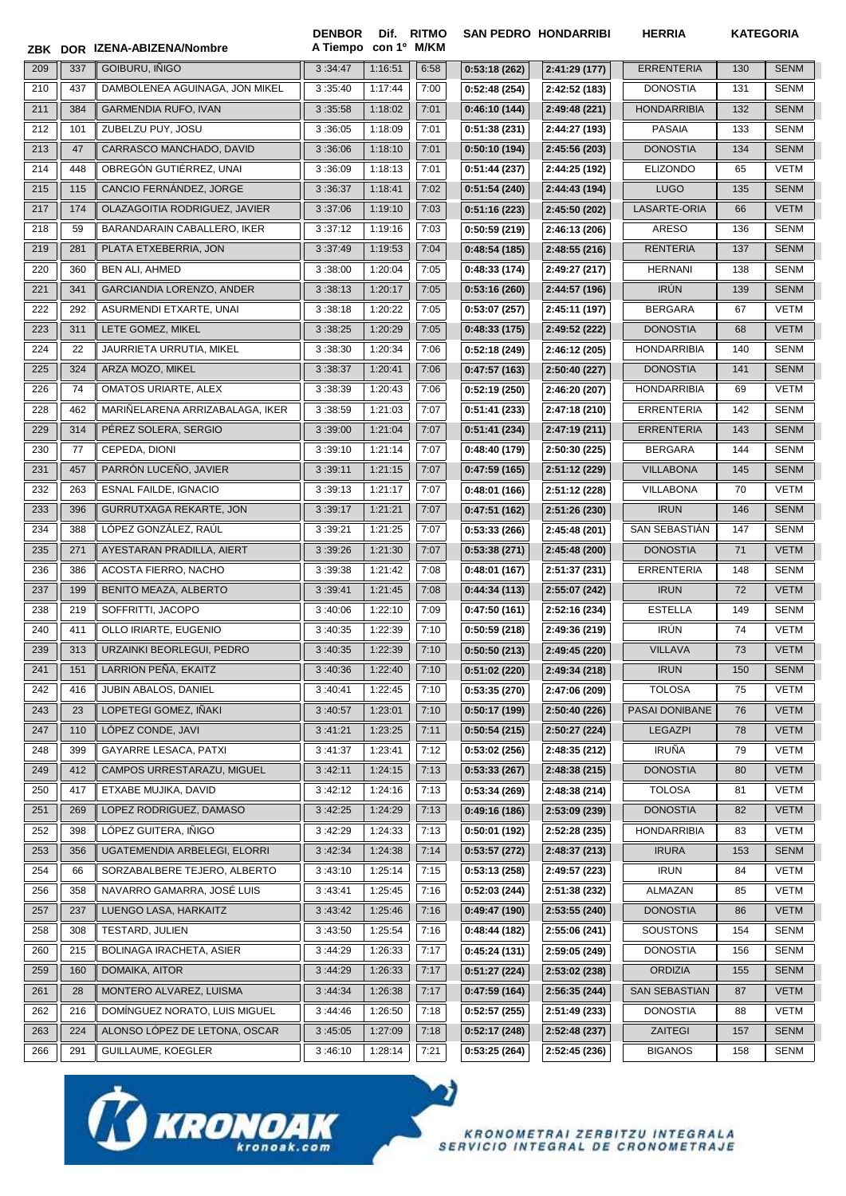| ZBK |     | DOR IZENA-ABIZENA/Nombre        | <b>DENBOR</b><br>A Tiempo | con 1º M/KM | Dif. RITMO |               | <b>SAN PEDRO HONDARRIBI</b> | <b>HERRIA</b>        | <b>KATEGORIA</b> |             |
|-----|-----|---------------------------------|---------------------------|-------------|------------|---------------|-----------------------------|----------------------|------------------|-------------|
| 209 | 337 | GOIBURU, IÑIGO                  | 3:34:47                   | 1:16:51     | 6:58       | 0:53:18(262)  | 2:41:29 (177)               | <b>ERRENTERIA</b>    | 130              | <b>SENM</b> |
| 210 | 437 | DAMBOLENEA AGUINAGA, JON MIKEL  | 3:35:40                   | 1:17:44     | 7:00       | 0:52:48(254)  | 2:42:52 (183)               | <b>DONOSTIA</b>      | 131              | SENM        |
| 211 | 384 | <b>GARMENDIA RUFO, IVAN</b>     | 3:35:58                   | 1:18:02     | 7:01       | 0:46:10(144)  | 2:49:48 (221)               | <b>HONDARRIBIA</b>   | 132              | <b>SENM</b> |
| 212 | 101 | ZUBELZU PUY, JOSU               | 3:36:05                   | 1:18:09     | 7:01       | 0:51:38(231)  | 2:44:27 (193)               | <b>PASAIA</b>        | 133              | SENM        |
| 213 | 47  | CARRASCO MANCHADO, DAVID        | 3:36:06                   | 1:18:10     | 7:01       | 0:50:10(194)  | 2:45:56 (203)               | <b>DONOSTIA</b>      | 134              | <b>SENM</b> |
| 214 | 448 | OBREGÓN GUTIÉRREZ, UNAI         | 3:36:09                   | 1:18:13     | 7:01       | 0:51:44(237)  | 2:44:25 (192)               | <b>ELIZONDO</b>      | 65               | <b>VETM</b> |
| 215 | 115 | CANCIO FERNÁNDEZ, JORGE         | 3:36:37                   | 1:18:41     | 7:02       | 0:51:54(240)  | 2:44:43 (194)               | <b>LUGO</b>          | 135              | <b>SENM</b> |
| 217 | 174 | OLAZAGOITIA RODRIGUEZ, JAVIER   | 3:37:06                   | 1:19:10     | 7:03       | 0:51:16(223)  | 2:45:50 (202)               | <b>LASARTE-ORIA</b>  | 66               | <b>VETM</b> |
| 218 | 59  | BARANDARAIN CABALLERO, IKER     | 3:37:12                   | 1:19:16     | 7:03       | 0:50:59(219)  | 2:46:13 (206)               | ARESO                | 136              | SENM        |
| 219 | 281 | PLATA ETXEBERRIA, JON           | 3:37:49                   | 1:19:53     | 7:04       | 0:48:54(185)  | 2:48:55 (216)               | <b>RENTERIA</b>      | 137              | <b>SENM</b> |
| 220 | 360 | <b>BEN ALI, AHMED</b>           | 3:38:00                   | 1:20:04     | 7:05       | 0:48:33(174)  | 2:49:27 (217)               | <b>HERNANI</b>       | 138              | SENM        |
| 221 | 341 | GARCIANDIA LORENZO, ANDER       | 3:38:13                   | 1:20:17     | 7:05       | 0:53:16(260)  | 2:44:57 (196)               | <b>IRÚN</b>          | 139              | <b>SENM</b> |
| 222 | 292 | ASURMENDI ETXARTE, UNAI         | 3:38:18                   | 1:20:22     | 7:05       | 0:53:07(257)  | 2:45:11 (197)               | <b>BERGARA</b>       | 67               | <b>VETM</b> |
| 223 | 311 | LETE GOMEZ, MIKEL               | 3:38:25                   | 1:20:29     | 7:05       | 0:48:33(175)  | 2:49:52 (222)               | <b>DONOSTIA</b>      | 68               | <b>VETM</b> |
| 224 | 22  | JAURRIETA URRUTIA, MIKEL        | 3:38:30                   | 1:20:34     | 7:06       | 0:52:18(249)  | 2:46:12 (205)               | HONDARRIBIA          | 140              | SENM        |
| 225 | 324 | ARZA MOZO, MIKEL                | 3:38:37                   | 1:20:41     | 7:06       | 0:47:57(163)  | 2:50:40 (227)               | <b>DONOSTIA</b>      | 141              | <b>SENM</b> |
| 226 | 74  | <b>OMATOS URIARTE, ALEX</b>     | 3:38:39                   | 1:20:43     | 7:06       | 0:52:19(250)  | 2:46:20 (207)               | <b>HONDARRIBIA</b>   | 69               | VETM        |
| 228 | 462 | MARIÑELARENA ARRIZABALAGA, IKER | 3:38:59                   | 1:21:03     | 7:07       | 0:51:41(233)  | 2:47:18 (210)               | <b>ERRENTERIA</b>    | 142              | <b>SENM</b> |
| 229 | 314 | PÉREZ SOLERA, SERGIO            | 3:39:00                   | 1:21:04     | 7:07       | 0:51:41(234)  | 2:47:19 (211)               | <b>ERRENTERIA</b>    | 143              | <b>SENM</b> |
| 230 | 77  | CEPEDA, DIONI                   | 3:39:10                   | 1:21:14     | 7:07       | 0:48:40 (179) | 2:50:30 (225)               | <b>BERGARA</b>       | 144              | <b>SENM</b> |
| 231 | 457 | PARRÓN LUCEÑO, JAVIER           | 3:39:11                   | 1:21:15     | 7:07       | 0:47:59(165)  | 2:51:12 (229)               | <b>VILLABONA</b>     | 145              | <b>SENM</b> |
| 232 | 263 | <b>ESNAL FAILDE, IGNACIO</b>    | 3:39:13                   | 1:21:17     | 7:07       | 0:48:01(166)  | 2:51:12 (228)               | <b>VILLABONA</b>     | 70               | VETM        |
| 233 | 396 | GURRUTXAGA REKARTE, JON         | 3:39:17                   | 1:21:21     | 7:07       | 0:47:51(162)  | 2:51:26 (230)               | <b>IRUN</b>          | 146              | <b>SENM</b> |
| 234 | 388 | LÓPEZ GONZÁLEZ, RAÚL            | 3:39:21                   | 1:21:25     | 7:07       | 0:53:33(266)  | 2:45:48 (201)               | SAN SEBASTIAN        | 147              | SENM        |
| 235 | 271 | AYESTARAN PRADILLA, AIERT       | 3:39:26                   | 1:21:30     | 7:07       | 0:53:38(271)  | 2:45:48 (200)               | <b>DONOSTIA</b>      | 71               | <b>VETM</b> |
| 236 | 386 | ACOSTA FIERRO, NACHO            | 3:39:38                   | 1:21:42     | 7:08       | 0:48:01(167)  | 2:51:37 (231)               | ERRENTERIA           | 148              | <b>SENM</b> |
| 237 | 199 | BENITO MEAZA, ALBERTO           | 3:39:41                   | 1:21:45     | 7:08       | 0:44:34(113)  | 2:55:07 (242)               | <b>IRUN</b>          | 72               | <b>VETM</b> |
| 238 | 219 | SOFFRITTI, JACOPO               | 3:40:06                   | 1:22:10     | 7:09       | 0:47:50(161)  | 2:52:16 (234)               | <b>ESTELLA</b>       | 149              | SENM        |
| 240 | 411 | OLLO IRIARTE, EUGENIO           | 3:40:35                   | 1:22:39     | 7:10       | 0:50:59(218)  | 2:49:36 (219)               | <b>IRÚN</b>          | 74               | VETM        |
| 239 | 313 | URZAINKI BEORLEGUI, PEDRO       | 3:40:35                   | 1:22:39     | 7:10       | 0:50:50(213)  | 2:49:45 (220)               | <b>VILLAVA</b>       | 73               | <b>VETM</b> |
| 241 | 151 | LARRION PENA, EKAITZ            | 3:40:36                   | 1:22:40     | 7:10       | 0:51:02(220)  | 2:49:34 (218)               | <b>IRUN</b>          | 150              | <b>SENM</b> |
| 242 | 416 | JUBIN ABALOS, DANIEL            | 3:40:41                   | 1:22:45     | 7:10       | 0:53:35(270)  | 2:47:06 (209)               | <b>TOLOSA</b>        | 75               | VETM        |
| 243 | 23  | LOPETEGI GOMEZ, IÑAKI           | 3:40:57                   | 1:23:01     | 7:10       | 0:50:17(199)  | 2:50:40 (226)               | PASAI DONIBANE       | 76               | <b>VETM</b> |
| 247 | 110 | LÓPEZ CONDE, JAVI               | 3:41:21                   | 1:23:25     | 7:11       | 0:50:54(215)  | 2:50:27 (224)               | <b>LEGAZPI</b>       | 78               | VETM        |
| 248 | 399 | GAYARRE LESACA, PATXI           | 3:41:37                   | 1:23:41     | 7:12       | 0:53:02(256)  | 2:48:35 (212)               | <b>IRUÑA</b>         | 79               | VETM        |
| 249 | 412 | CAMPOS URRESTARAZU, MIGUEL      | 3:42:11                   | 1:24:15     | 7:13       | 0:53:33(267)  | 2:48:38 (215)               | <b>DONOSTIA</b>      | 80               | <b>VETM</b> |
| 250 | 417 | ETXABE MUJIKA, DAVID            | 3:42:12                   | 1:24:16     | 7:13       | 0:53:34(269)  | 2:48:38 (214)               | <b>TOLOSA</b>        | 81               | VETM        |
| 251 | 269 | LOPEZ RODRIGUEZ, DAMASO         | 3:42:25                   | 1:24:29     | 7:13       | 0:49:16(186)  | 2:53:09 (239)               | <b>DONOSTIA</b>      | 82               | VETM        |
| 252 | 398 | LÓPEZ GUITERA, IÑIGO            | 3:42:29                   | 1:24:33     | 7:13       | 0:50:01(192)  | 2:52:28 (235)               | <b>HONDARRIBIA</b>   | 83               | <b>VETM</b> |
| 253 | 356 | UGATEMENDIA ARBELEGI, ELORRI    | 3:42:34                   | 1:24:38     | 7:14       | 0:53:57(272)  | 2:48:37 (213)               | <b>IRURA</b>         | 153              | <b>SENM</b> |
| 254 | 66  | SORZABALBERE TEJERO, ALBERTO    | 3:43:10                   | 1:25:14     | 7:15       | 0:53:13(258)  | 2:49:57 (223)               | <b>IRUN</b>          | 84               | VETM        |
| 256 | 358 | NAVARRO GAMARRA, JOSÉ LUIS      | 3:43:41                   | 1:25:45     | 7:16       | 0:52:03(244)  | 2:51:38 (232)               | ALMAZAN              | 85               | VETM        |
| 257 | 237 | LUENGO LASA, HARKAITZ           | 3:43:42                   | 1:25:46     | 7:16       | 0:49:47(190)  | 2:53:55(240)                | <b>DONOSTIA</b>      | 86               | <b>VETM</b> |
| 258 | 308 | <b>TESTARD, JULIEN</b>          | 3:43:50                   | 1:25:54     | 7:16       | 0:48:44 (182) | 2:55:06 (241)               | SOUSTONS             | 154              | SENM        |
| 260 | 215 | BOLINAGA IRACHETA, ASIER        | 3:44:29                   | 1:26:33     | 7:17       | 0:45:24(131)  | 2:59:05 (249)               | <b>DONOSTIA</b>      | 156              | SENM        |
| 259 | 160 | DOMAIKA, AITOR                  | 3:44:29                   | 1:26:33     | 7:17       | 0:51:27(224)  | 2:53:02 (238)               | <b>ORDIZIA</b>       | 155              | <b>SENM</b> |
| 261 | 28  | MONTERO ALVAREZ, LUISMA         | 3:44:34                   | 1:26:38     | 7:17       | 0:47:59(164)  | 2:56:35 (244)               | <b>SAN SEBASTIAN</b> | 87               | <b>VETM</b> |
| 262 | 216 | DOMÍNGUEZ NORATO, LUIS MIGUEL   | 3:44:46                   | 1:26:50     | 7:18       | 0:52:57(255)  | 2:51:49 (233)               | <b>DONOSTIA</b>      | 88               | VETM        |
| 263 | 224 | ALONSO LÓPEZ DE LETONA, OSCAR   | 3:45:05                   | 1:27:09     | 7:18       | 0:52:17(248)  | 2:52:48 (237)               | ZAITEGI              | 157              | <b>SENM</b> |
| 266 | 291 | GUILLAUME, KOEGLER              | 3:46:10                   | 1:28:14     | 7:21       | 0:53:25(264)  | 2:52:45 (236)               | <b>BIGANOS</b>       | 158              | <b>SENM</b> |

 $\bullet$ 

**TO KROMOAK**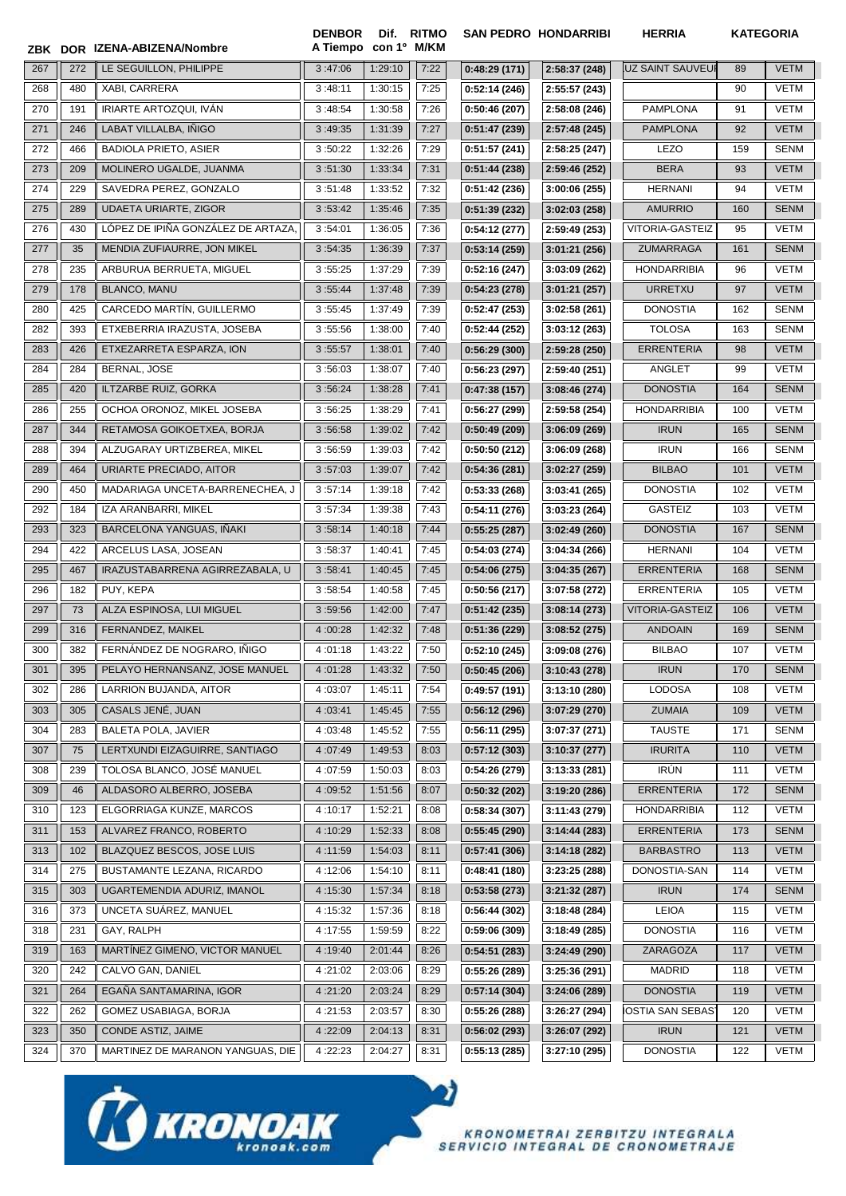|     |     | ZBK DOR IZENA-ABIZENA/Nombre       | <b>DENBOR</b><br>A Tiempo con 1º M/KM | Dif. RITMO |      |              | <b>SAN PEDRO HONDARRIBI</b> | <b>HERRIA</b>           |     | <b>KATEGORIA</b> |
|-----|-----|------------------------------------|---------------------------------------|------------|------|--------------|-----------------------------|-------------------------|-----|------------------|
| 267 | 272 | LE SEGUILLON, PHILIPPE             | 3:47:06                               | 1:29:10    | 7:22 | 0:48:29(171) | 2:58:37 (248)               | UZ SAINT SAUVEUI        | 89  | <b>VETM</b>      |
| 268 | 480 | XABI, CARRERA                      | 3:48:11                               | 1:30:15    | 7:25 | 0:52:14(246) | 2:55:57 (243)               |                         | 90  | VETM             |
| 270 | 191 | IRIARTE ARTOZQUI. IVÁN             | 3:48:54                               | 1:30:58    | 7:26 | 0:50:46(207) | 2:58:08 (246)               | <b>PAMPLONA</b>         | 91  | VETM             |
| 271 | 246 | LABAT VILLALBA, IÑIGO              | 3:49:35                               | 1:31:39    | 7:27 | 0:51:47(239) | 2:57:48 (245)               | <b>PAMPLONA</b>         | 92  | <b>VETM</b>      |
| 272 | 466 | <b>BADIOLA PRIETO, ASIER</b>       | 3:50:22                               | 1:32:26    | 7:29 | 0:51:57(241) | 2:58:25 (247)               | <b>LEZO</b>             | 159 | SENM             |
| 273 | 209 | MOLINERO UGALDE, JUANMA            | 3:51:30                               | 1:33:34    | 7:31 | 0:51:44(238) | 2:59:46 (252)               | <b>BERA</b>             | 93  | <b>VETM</b>      |
| 274 | 229 | SAVEDRA PEREZ, GONZALO             | 3:51:48                               | 1:33:52    | 7:32 | 0:51:42(236) | 3:00:06(255)                | <b>HERNANI</b>          | 94  | <b>VETM</b>      |
| 275 | 289 | <b>UDAETA URIARTE, ZIGOR</b>       | 3:53:42                               | 1:35:46    | 7:35 | 0:51:39(232) | 3:02:03 (258)               | <b>AMURRIO</b>          | 160 | <b>SENM</b>      |
| 276 | 430 | LÓPEZ DE IPIÑA GONZÁLEZ DE ARTAZA. | 3:54:01                               | 1:36:05    | 7:36 | 0:54:12(277) | 2:59:49 (253)               | VITORIA-GASTEIZ         | 95  | <b>VETM</b>      |
| 277 | 35  | MENDIA ZUFIAURRE, JON MIKEL        | 3:54:35                               | 1:36:39    | 7:37 | 0:53:14(259) | 3:01:21(256)                | ZUMARRAGA               | 161 | <b>SENM</b>      |
| 278 | 235 | ARBURUA BERRUETA, MIGUEL           | 3:55:25                               | 1:37:29    | 7:39 | 0:52:16(247) | 3:03:09 (262)               | <b>HONDARRIBIA</b>      | 96  | VETM             |
| 279 | 178 | <b>BLANCO, MANU</b>                | 3:55:44                               | 1:37:48    | 7:39 | 0:54:23(278) | 3:01:21(257)                | <b>URRETXU</b>          | 97  | <b>VETM</b>      |
| 280 | 425 | CARCEDO MARTÍN, GUILLERMO          | 3:55:45                               | 1:37:49    | 7:39 | 0:52:47(253) | 3:02:58(261)                | <b>DONOSTIA</b>         | 162 | <b>SENM</b>      |
| 282 | 393 | ETXEBERRIA IRAZUSTA, JOSEBA        | 3:55:56                               | 1:38:00    | 7:40 | 0:52:44(252) | 3:03:12(263)                | <b>TOLOSA</b>           | 163 | SENM             |
| 283 | 426 | ETXEZARRETA ESPARZA, ION           | 3:55:57                               | 1:38:01    | 7:40 | 0:56:29(300) | 2:59:28 (250)               | <b>ERRENTERIA</b>       | 98  | <b>VETM</b>      |
| 284 | 284 | BERNAL, JOSE                       | 3:56:03                               | 1:38:07    | 7:40 | 0:56:23(297) | 2:59:40 (251)               | ANGLET                  | 99  | VETM             |
| 285 | 420 | ILTZARBE RUIZ, GORKA               | 3:56:24                               | 1:38:28    | 7:41 | 0:47:38(157) | 3:08:46(274)                | <b>DONOSTIA</b>         | 164 | <b>SENM</b>      |
| 286 | 255 | OCHOA ORONOZ, MIKEL JOSEBA         | 3:56:25                               | 1:38:29    | 7:41 | 0:56:27(299) | 2:59:58 (254)               | <b>HONDARRIBIA</b>      | 100 | <b>VETM</b>      |
| 287 | 344 | RETAMOSA GOIKOETXEA, BORJA         | 3:56:58                               | 1:39:02    | 7:42 | 0:50:49(209) | 3:06:09(269)                | <b>IRUN</b>             | 165 | <b>SENM</b>      |
| 288 | 394 | ALZUGARAY URTIZBEREA, MIKEL        | 3:56:59                               | 1:39:03    | 7:42 | 0:50:50(212) | 3:06:09(268)                | <b>IRUN</b>             | 166 | <b>SENM</b>      |
| 289 | 464 | URIARTE PRECIADO, AITOR            | 3:57:03                               | 1:39:07    | 7:42 | 0:54:36(281) | 3:02:27(259)                | <b>BILBAO</b>           | 101 | <b>VETM</b>      |
| 290 | 450 | MADARIAGA UNCETA-BARRENECHEA, J    | 3:57:14                               | 1:39:18    | 7:42 | 0:53:33(268) | 3:03:41(265)                | <b>DONOSTIA</b>         | 102 | VETM             |
| 292 | 184 | IZA ARANBARRI, MIKEL               | 3:57:34                               | 1:39:38    | 7:43 | 0:54:11(276) | 3:03:23(264)                | <b>GASTEIZ</b>          | 103 | VETM             |
| 293 | 323 | <b>BARCELONA YANGUAS, INAKI</b>    | 3:58:14                               | 1:40:18    | 7:44 | 0:55:25(287) | 3:02:49(260)                | <b>DONOSTIA</b>         | 167 | <b>SENM</b>      |
| 294 | 422 | ARCELUS LASA, JOSEAN               | 3:58:37                               | 1:40:41    | 7:45 | 0:54:03(274) | 3:04:34 (266)               | <b>HERNANI</b>          | 104 | VETM             |
| 295 | 467 | IRAZUSTABARRENA AGIRREZABALA, U    | 3:58:41                               | 1:40:45    | 7:45 | 0:54:06(275) | 3:04:35(267)                | <b>ERRENTERIA</b>       | 168 | <b>SENM</b>      |
| 296 | 182 | PUY, KEPA                          | 3:58:54                               | 1:40:58    | 7:45 | 0:50:56(217) | 3:07:58 (272)               | <b>ERRENTERIA</b>       | 105 | VETM             |
| 297 | 73  | ALZA ESPINOSA, LUI MIGUEL          | 3:59:56                               | 1:42:00    | 7:47 | 0:51:42(235) | 3:08:14(273)                | <b>VITORIA-GASTEIZ</b>  | 106 | <b>VETM</b>      |
| 299 | 316 | FERNANDEZ, MAIKEL                  | 4:00:28                               | 1:42:32    | 7:48 | 0:51:36(229) | 3:08:52(275)                | <b>ANDOAIN</b>          | 169 | <b>SENM</b>      |
| 300 | 382 | FERNÁNDEZ DE NOGRARO, IÑIGO        | 4:01:18                               | 1:43:22    | 7:50 | 0:52:10(245) | 3:09:08 (276)               | <b>BILBAO</b>           | 107 | VETM             |
| 301 | 395 | PELAYO HERNANSANZ, JOSE MANUEL     | 4:01:28                               | 1:43:32    | 7:50 | 0:50:45(206) | 3:10:43(278)                | <b>IRUN</b>             | 170 | SENM             |
| 302 | 286 | LARRION BUJANDA, AITOR             | 4:03:07                               | 1:45:11    | 7:54 | 0:49:57(191) | 3:13:10(280)                | <b>LODOSA</b>           | 108 | <b>VETM</b>      |
| 303 | 305 | CASALS JENÉ, JUAN                  | 4:03:41                               | 1:45:45    | 7:55 | 0:56:12(296) | 3:07:29(270)                | <b>ZUMAIA</b>           | 109 | VETM             |
| 304 | 283 | BALETA POLA, JAVIER                | 4:03:48                               | 1:45:52    | 7:55 | 0:56:11(295) | 3:07:37(271)                | <b>TAUSTE</b>           | 171 | SENM             |
| 307 | 75  | LERTXUNDI EIZAGUIRRE, SANTIAGO     | 4:07:49                               | 1:49:53    | 8:03 | 0:57:12(303) | 3:10:37(277)                | <b>IRURITA</b>          | 110 | VETM             |
| 308 | 239 | TOLOSA BLANCO, JOSÉ MANUEL         | 4:07:59                               | 1:50:03    | 8:03 | 0:54:26(279) | 3:13:33(281)                | IRÚN                    | 111 | VETM             |
| 309 | 46  | ALDASORO ALBERRO, JOSEBA           | 4:09:52                               | 1:51:56    | 8:07 | 0:50:32(202) | 3:19:20 (286)               | <b>ERRENTERIA</b>       | 172 | <b>SENM</b>      |
| 310 | 123 | ELGORRIAGA KUNZE, MARCOS           | 4:10:17                               | 1:52:21    | 8:08 | 0:58:34(307) | 3:11:43 (279)               | <b>HONDARRIBIA</b>      | 112 | VETM             |
| 311 | 153 | ALVAREZ FRANCO, ROBERTO            | 4:10:29                               | 1:52:33    | 8:08 | 0:55:45(290) | 3:14:44(283)                | <b>ERRENTERIA</b>       | 173 | <b>SENM</b>      |
| 313 | 102 | BLAZQUEZ BESCOS, JOSE LUIS         | 4:11:59                               | 1:54:03    | 8:11 | 0:57:41(306) | 3:14:18 (282)               | <b>BARBASTRO</b>        | 113 | VETM             |
| 314 | 275 | BUSTAMANTE LEZANA, RICARDO         | 4:12:06                               | 1:54:10    | 8:11 | 0:48:41(180) | 3:23:25 (288)               | DONOSTIA-SAN            | 114 | VETM             |
| 315 | 303 | UGARTEMENDIA ADURIZ, IMANOL        | 4:15:30                               | 1:57:34    | 8:18 | 0:53:58(273) | 3:21:32(287)                | <b>IRUN</b>             | 174 | <b>SENM</b>      |
| 316 | 373 | UNCETA SUAREZ, MANUEL              | 4:15:32                               | 1:57:36    | 8:18 | 0:56:44(302) | 3:18:48 (284)               | <b>LEIOA</b>            | 115 | VETM             |
| 318 | 231 | GAY, RALPH                         | 4:17:55                               | 1:59:59    | 8:22 | 0:59:06(309) | 3:18:49 (285)               | <b>DONOSTIA</b>         | 116 | VETM             |
| 319 | 163 | MARTINEZ GIMENO, VICTOR MANUEL     | 4:19:40                               | 2:01:44    | 8:26 | 0:54:51(283) | 3:24:49 (290)               | ZARAGOZA                | 117 | <b>VETM</b>      |
| 320 | 242 | CALVO GAN, DANIEL                  | 4:21:02                               | 2:03:06    | 8:29 | 0:55:26(289) | 3:25:36 (291)               | <b>MADRID</b>           | 118 | VETM             |
| 321 | 264 | EGAÑA SANTAMARINA, IGOR            | 4:21:20                               | 2:03:24    | 8:29 | 0:57:14(304) | 3:24:06 (289)               | <b>DONOSTIA</b>         | 119 | <b>VETM</b>      |
| 322 | 262 | GOMEZ USABIAGA, BORJA              | 4:21:53                               | 2:03:57    | 8:30 | 0:55:26(288) | 3:26:27 (294)               | <b>IOSTIA SAN SEBAS</b> | 120 | VETM             |
| 323 | 350 | CONDE ASTIZ, JAIME                 | 4:22:09                               | 2:04:13    | 8:31 | 0:56:02(293) | 3:26:07 (292)               | <b>IRUN</b>             | 121 | VETM             |
| 324 | 370 | MARTINEZ DE MARANON YANGUAS, DIE   | 4:22:23                               | 2:04:27    | 8:31 | 0:55:13(285) | 3:27:10 (295)               | <b>DONOSTIA</b>         | 122 | VETM             |

 $\boldsymbol{v}$ 



KRONOMETRAI ZERBITZU INTEGRALA<br>SERVICIO INTEGRAL DE CRONOMETRAJE